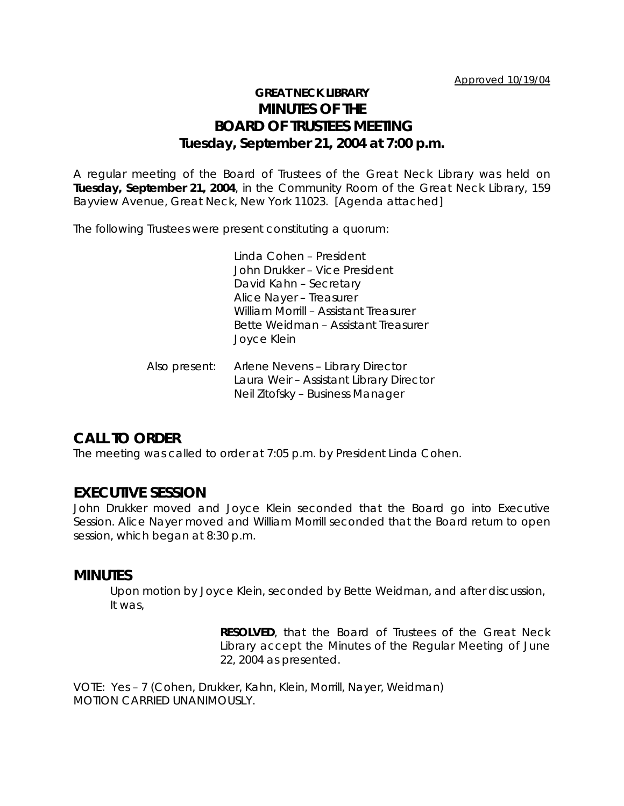# **GREAT NECK LIBRARY MINUTES OF THE BOARD OF TRUSTEES MEETING Tuesday, September 21, 2004 at 7:00 p.m.**

A regular meeting of the Board of Trustees of the Great Neck Library was held on **Tuesday, September 21, 2004**, in the Community Room of the Great Neck Library, 159 Bayview Avenue, Great Neck, New York 11023. [Agenda attached]

The following Trustees were present constituting a quorum:

Linda Cohen – President John Drukker – Vice President David Kahn – Secretary Alice Nayer – Treasurer William Morrill – Assistant Treasurer Bette Weidman – Assistant Treasurer Joyce Klein

Also present: Arlene Nevens – Library Director Laura Weir – Assistant Library Director Neil Zitofsky – Business Manager

# **CALL TO ORDER**

The meeting was called to order at 7:05 p.m. by President Linda Cohen.

## **EXECUTIVE SESSION**

John Drukker moved and Joyce Klein seconded that the Board go into Executive Session. Alice Nayer moved and William Morrill seconded that the Board return to open session, which began at 8:30 p.m.

### **MINUTES**

Upon motion by Joyce Klein, seconded by Bette Weidman, and after discussion, It was,

> **RESOLVED**, that the Board of Trustees of the Great Neck Library accept the Minutes of the Regular Meeting of June 22, 2004 as presented.

VOTE:Yes – 7 (Cohen, Drukker, Kahn, Klein, Morrill, Nayer, Weidman) *MOTION CARRIED UNANIMOUSLY.*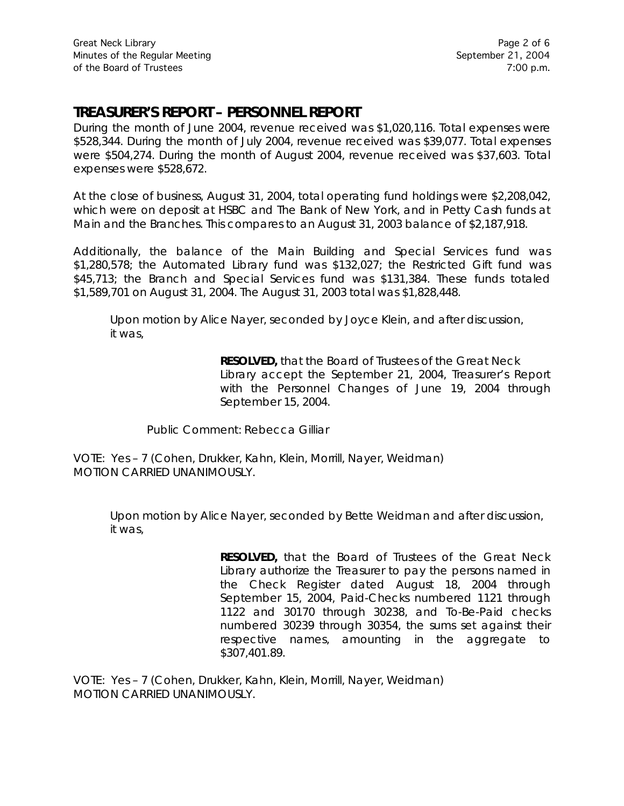# **TREASURER'S REPORT – PERSONNEL REPORT**

During the month of June 2004, revenue received was \$1,020,116. Total expenses were \$528,344. During the month of July 2004, revenue received was \$39,077. Total expenses were \$504,274. During the month of August 2004, revenue received was \$37,603. Total expenses were \$528,672.

At the close of business, August 31, 2004, total operating fund holdings were \$2,208,042, which were on deposit at HSBC and The Bank of New York, and in Petty Cash funds at Main and the Branches. This compares to an August 31, 2003 balance of \$2,187,918.

Additionally, the balance of the Main Building and Special Services fund was \$1,280,578; the Automated Library fund was \$132,027; the Restricted Gift fund was \$45,713; the Branch and Special Services fund was \$131,384. These funds totaled \$1,589,701 on August 31, 2004. The August 31, 2003 total was \$1,828,448.

Upon motion by Alice Nayer, seconded by Joyce Klein, and after discussion, it was,

> **RESOLVED,** that the Board of Trustees of the Great Neck Library accept the September 21, 2004, Treasurer's Report with the Personnel Changes of June 19, 2004 through September 15, 2004.

Public Comment: Rebecca Gilliar

VOTE:Yes – 7 (Cohen, Drukker, Kahn, Klein, Morrill, Nayer, Weidman) *MOTION CARRIED UNANIMOUSLY.*

Upon motion by Alice Nayer, seconded by Bette Weidman and after discussion, it was,

> **RESOLVED,** that the Board of Trustees of the Great Neck Library authorize the Treasurer to pay the persons named in the Check Register dated August 18, 2004 through September 15, 2004, Paid-Checks numbered 1121 through 1122 and 30170 through 30238, and To-Be-Paid checks numbered 30239 through 30354, the sums set against their respective names, amounting in the aggregate to \$307,401.89.

VOTE:Yes – 7 (Cohen, Drukker, Kahn, Klein, Morrill, Nayer, Weidman) *MOTION CARRIED UNANIMOUSLY.*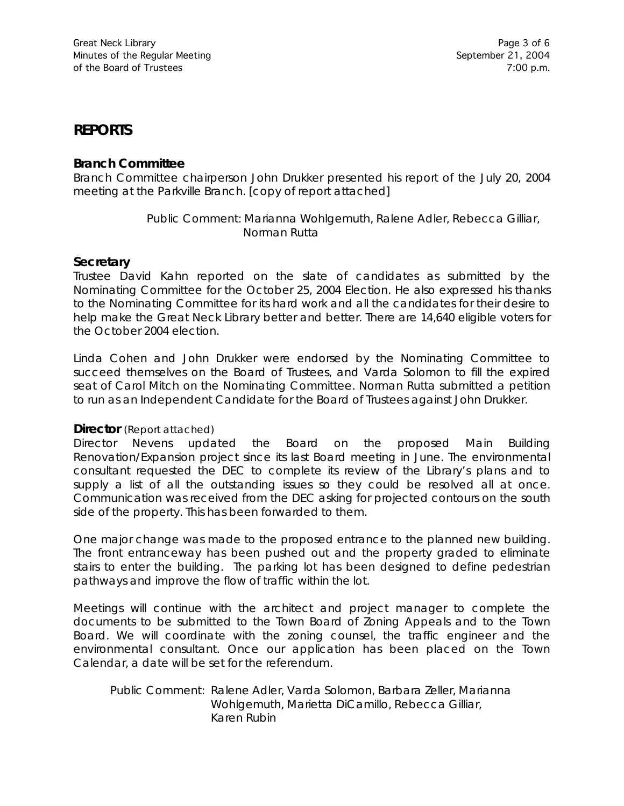# **REPORTS**

### **Branch Committee**

Branch Committee chairperson John Drukker presented his report of the July 20, 2004 meeting at the Parkville Branch. [copy of report attached]

> Public Comment: Marianna Wohlgemuth, Ralene Adler, Rebecca Gilliar, Norman Rutta

### **Secretary**

Trustee David Kahn reported on the slate of candidates as submitted by the Nominating Committee for the October 25, 2004 Election. He also expressed his thanks to the Nominating Committee for its hard work and all the candidates for their desire to help make the Great Neck Library better and better. There are 14,640 eligible voters for the October 2004 election.

Linda Cohen and John Drukker were endorsed by the Nominating Committee to succeed themselves on the Board of Trustees, and Varda Solomon to fill the expired seat of Carol Mitch on the Nominating Committee. Norman Rutta submitted a petition to run as an Independent Candidate for the Board of Trustees against John Drukker.

#### **Director** (Report attached)

Director Nevens updated the Board on the proposed Main Building Renovation/Expansion project since its last Board meeting in June. The environmental consultant requested the DEC to complete its review of the Library's plans and to supply a list of all the outstanding issues so they could be resolved all at once. Communication was received from the DEC asking for projected contours on the south side of the property. This has been forwarded to them.

One major change was made to the proposed entrance to the planned new building. The front entranceway has been pushed out and the property graded to eliminate stairs to enter the building. The parking lot has been designed to define pedestrian pathways and improve the flow of traffic within the lot.

Meetings will continue with the architect and project manager to complete the documents to be submitted to the Town Board of Zoning Appeals and to the Town Board. We will coordinate with the zoning counsel, the traffic engineer and the environmental consultant. Once our application has been placed on the Town Calendar, a date will be set for the referendum.

Public Comment: Ralene Adler, Varda Solomon, Barbara Zeller, Marianna Wohlgemuth, Marietta DiCamillo, Rebecca Gilliar, Karen Rubin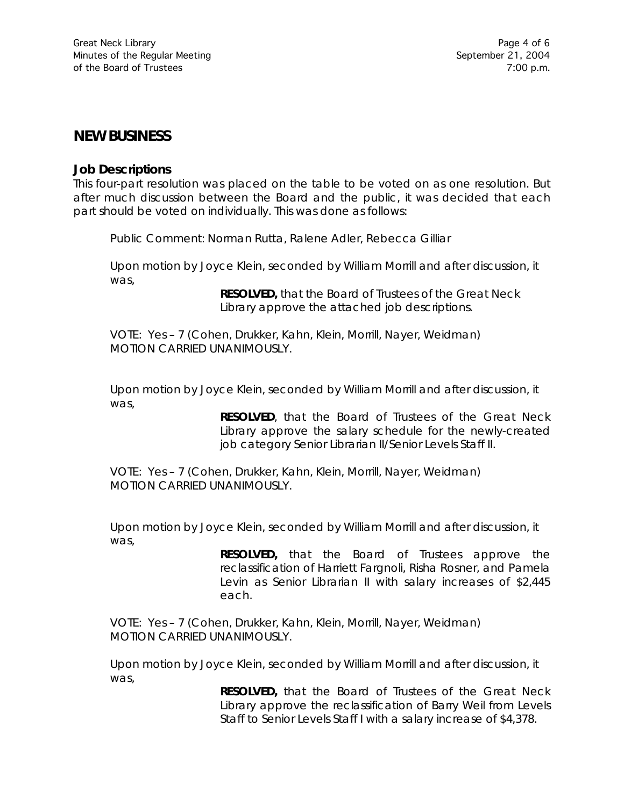## **NEW BUSINESS**

#### **Job Descriptions**

This four-part resolution was placed on the table to be voted on as one resolution. But after much discussion between the Board and the public, it was decided that each part should be voted on individually. This was done as follows:

Public Comment: Norman Rutta, Ralene Adler, Rebecca Gilliar

Upon motion by Joyce Klein, seconded by William Morrill and after discussion, it was,

> **RESOLVED,** that the Board of Trustees of the Great Neck Library approve the attached job descriptions.

VOTE:Yes – 7 (Cohen, Drukker, Kahn, Klein, Morrill, Nayer, Weidman) *MOTION CARRIED UNANIMOUSLY.*

Upon motion by Joyce Klein, seconded by William Morrill and after discussion, it was,

> **RESOLVED**, that the Board of Trustees of the Great Neck Library approve the salary schedule for the newly-created job category Senior Librarian II/Senior Levels Staff II.

VOTE:Yes – 7 (Cohen, Drukker, Kahn, Klein, Morrill, Nayer, Weidman) *MOTION CARRIED UNANIMOUSLY.*

Upon motion by Joyce Klein, seconded by William Morrill and after discussion, it was,

> **RESOLVED,** that the Board of Trustees approve the reclassification of Harriett Fargnoli, Risha Rosner, and Pamela Levin as Senior Librarian II with salary increases of \$2,445 each.

VOTE:Yes – 7 (Cohen, Drukker, Kahn, Klein, Morrill, Nayer, Weidman) *MOTION CARRIED UNANIMOUSLY.*

Upon motion by Joyce Klein, seconded by William Morrill and after discussion, it was,

> **RESOLVED,** that the Board of Trustees of the Great Neck Library approve the reclassification of Barry Weil from Levels Staff to Senior Levels Staff I with a salary increase of \$4,378.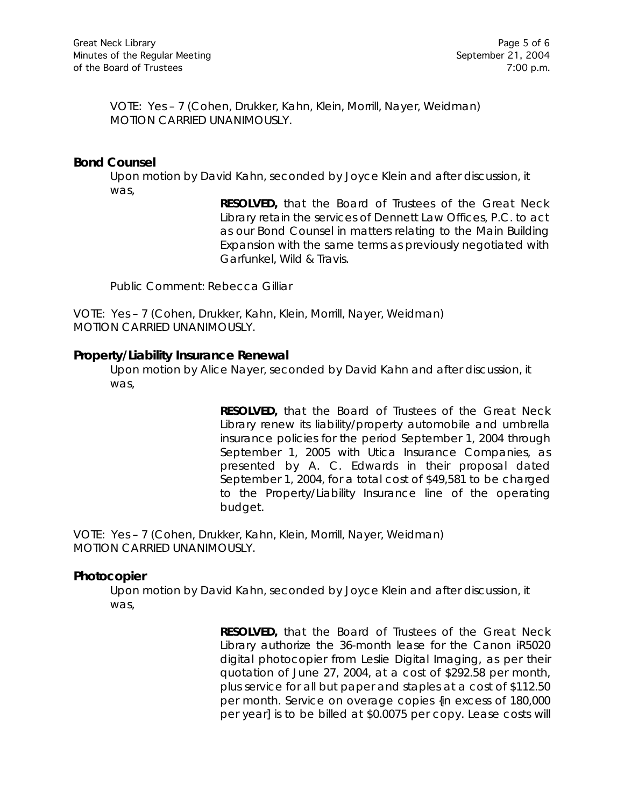VOTE:Yes – 7 (Cohen, Drukker, Kahn, Klein, Morrill, Nayer, Weidman) *MOTION CARRIED UNANIMOUSLY.*

### **Bond Counsel**

Upon motion by David Kahn, seconded by Joyce Klein and after discussion, it was,

> **RESOLVED,** that the Board of Trustees of the Great Neck Library retain the services of Dennett Law Offices, P.C. to act as our Bond Counsel in matters relating to the Main Building Expansion with the same terms as previously negotiated with Garfunkel, Wild & Travis.

Public Comment: Rebecca Gilliar

VOTE:Yes – 7 (Cohen, Drukker, Kahn, Klein, Morrill, Nayer, Weidman) *MOTION CARRIED UNANIMOUSLY.*

#### **Property/Liability Insurance Renewal**

Upon motion by Alice Nayer, seconded by David Kahn and after discussion, it was,

> **RESOLVED,** that the Board of Trustees of the Great Neck Library renew its liability/property automobile and umbrella insurance policies for the period September 1, 2004 through September 1, 2005 with Utica Insurance Companies, as presented by A. C. Edwards in their proposal dated September 1, 2004, for a total cost of \$49,581 to be charged to the Property/Liability Insurance line of the operating budget.

VOTE:Yes – 7 (Cohen, Drukker, Kahn, Klein, Morrill, Nayer, Weidman) *MOTION CARRIED UNANIMOUSLY.*

#### **Photocopier**

Upon motion by David Kahn, seconded by Joyce Klein and after discussion, it was,

> **RESOLVED,** that the Board of Trustees of the Great Neck Library authorize the 36-month lease for the Canon iR5020 digital photocopier from Leslie Digital Imaging, as per their quotation of June 27, 2004, at a cost of \$292.58 per month, plus service for all but paper and staples at a cost of \$112.50 per month. Service on overage copies {in excess of 180,000 per year] is to be billed at \$0.0075 per copy. Lease costs will